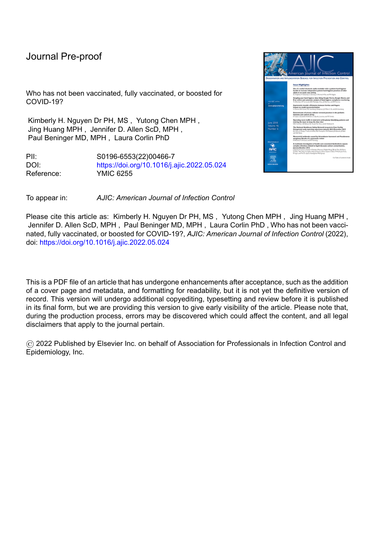Who has not been vaccinated, fully vaccinated, or boosted for COVID-19?

Kimberly H. Nguyen Dr PH, MS , Yutong Chen MPH , Jing Huang MPH , Jennifer D. Allen ScD, MPH , Paul Beninger MD, MPH , Laura Corlin PhD

PII: S0196-6553(22)00466-7 DOI: <https://doi.org/10.1016/j.ajic.2022.05.024> Reference: YMIC 6255



Please cite this article as: Kimberly H. Nguyen Dr PH, MS, Yutong Chen MPH, Jing Huang MPH, Jennifer D. Allen ScD, MPH , Paul Beninger MD, MPH , Laura Corlin PhD , Who has not been vaccinated, fully vaccinated, or boosted for COVID-19?, *AJIC: American Journal of Infection Control* (2022), doi: <https://doi.org/10.1016/j.ajic.2022.05.024>

This is a PDF file of an article that has undergone enhancements after acceptance, such as the addition of a cover page and metadata, and formatting for readability, but it is not yet the definitive version of record. This version will undergo additional copyediting, typesetting and review before it is published in its final form, but we are providing this version to give early visibility of the article. Please note that, during the production process, errors may be discovered which could affect the content, and all legal disclaimers that apply to the journal pertain.

© 2022 Published by Elsevier Inc. on behalf of Association for Professionals in Infection Control and Epidemiology, Inc.

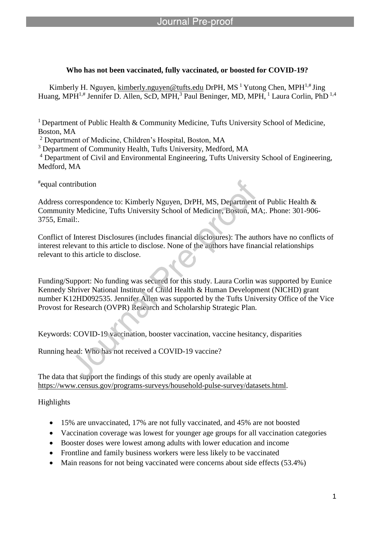# **Who has not been vaccinated, fully vaccinated, or boosted for COVID-19?**

Kimberly H. Nguyen, kimberly.nguyen@tufts.edu DrPH, MS <sup>1</sup> Yutong Chen, MPH<sup>1,#</sup> Jing Huang, MPH<sup>1,#</sup> Jennifer D. Allen, ScD, MPH,<sup>3</sup> Paul Beninger, MD, MPH,<sup>1</sup> Laura Corlin, PhD<sup>1,4</sup>

<sup>1</sup> Department of Public Health & Community Medicine, Tufts University School of Medicine, Boston, MA

<sup>2</sup> Department of Medicine, Children's Hospital, Boston, MA

l

<sup>3</sup> Department of Community Health, Tufts University, Medford, MA

<sup>4</sup> Department of Civil and Environmental Engineering, Tufts University School of Engineering, Medford, MA

# equal contribution

Address correspondence to: Kimberly Nguyen, DrPH, MS, Department of Public Health & Community Medicine, Tufts University School of Medicine, Boston, MA;. Phone: 301-906- 3755, Email:.

Conflict of Interest Disclosures (includes financial disclosures): The authors have no conflicts of interest relevant to this article to disclose. None of the authors have financial relationships relevant to this article to disclose.

Funding/Support: No funding was secured for this study. Laura Corlin was supported by Eunice Kennedy Shriver National Institute of Child Health & Human Development (NICHD) grant number K12HD092535. Jennifer Allen was supported by the Tufts University Office of the Vice Provost for Research (OVPR) Research and Scholarship Strategic Plan.

Keywords: COVID-19 vaccination, booster vaccination, vaccine hesitancy, disparities

Running head: Who has not received a COVID-19 vaccine?

The data that support the findings of this study are openly available at https://www.census.gov/programs-surveys/household-pulse-survey/datasets.html.

Highlights

- 15% are unvaccinated, 17% are not fully vaccinated, and 45% are not boosted
- Vaccination coverage was lowest for younger age groups for all vaccination categories
- Booster doses were lowest among adults with lower education and income
- Frontline and family business workers were less likely to be vaccinated
- Main reasons for not being vaccinated were concerns about side effects (53.4%)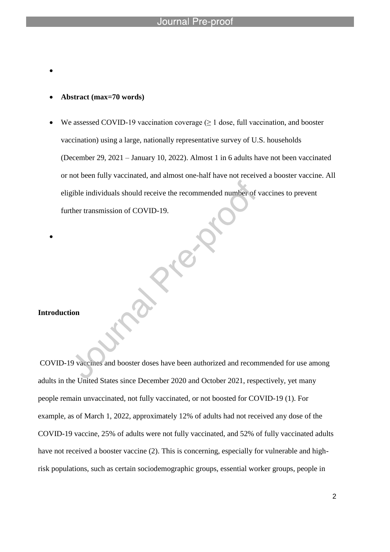**Abstract (max=70 words)**

l

 $\bullet$ 

We assessed COVID-19 vaccination coverage  $(\geq 1)$  dose, full vaccination, and booster vaccination) using a large, nationally representative survey of U.S. households (December 29, 2021 – January 10, 2022). Almost 1 in 6 adults have not been vaccinated or not been fully vaccinated, and almost one-half have not received a booster vaccine. All eligible individuals should receive the recommended number of vaccines to prevent further transmission of COVID-19.

#### **Introduction**

 $\bullet$ 

COVID-19 vaccines and booster doses have been authorized and recommended for use among adults in the United States since December 2020 and October 2021, respectively, yet many people remain unvaccinated, not fully vaccinated, or not boosted for COVID-19 (1). For example, as of March 1, 2022, approximately 12% of adults had not received any dose of the COVID-19 vaccine, 25% of adults were not fully vaccinated, and 52% of fully vaccinated adults have not received a booster vaccine (2). This is concerning, especially for vulnerable and highrisk populations, such as certain sociodemographic groups, essential worker groups, people in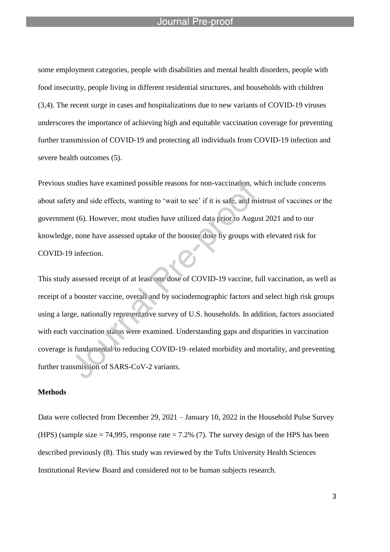l

some employment categories, people with disabilities and mental health disorders, people with food insecurity, people living in different residential structures, and households with children (3,4). The recent surge in cases and hospitalizations due to new variants of COVID-19 viruses underscores the importance of achieving high and equitable vaccination coverage for preventing further transmission of COVID-19 and protecting all individuals from COVID-19 infection and severe health outcomes (5).

Previous studies have examined possible reasons for non-vaccination, which include concerns about safety and side effects, wanting to 'wait to see' if it is safe, and mistrust of vaccines or the government (6). However, most studies have utilized data prior to August 2021 and to our knowledge, none have assessed uptake of the booster dose by groups with elevated risk for COVID-19 infection.

This study assessed receipt of at least one dose of COVID-19 vaccine, full vaccination, as well as receipt of a booster vaccine, overall and by sociodemographic factors and select high risk groups using a large, nationally representative survey of U.S. households. In addition, factors associated with each vaccination status were examined. Understanding gaps and disparities in vaccination coverage is fundamental to reducing COVID-19–related morbidity and mortality, and preventing further transmission of SARS-CoV-2 variants.

#### **Methods**

Data were collected from December 29, 2021 – January 10, 2022 in the Household Pulse Survey (HPS) (sample size  $= 74,995$ , response rate  $= 7.2\%$  (7). The survey design of the HPS has been described previously (8). This study was reviewed by the Tufts University Health Sciences Institutional Review Board and considered not to be human subjects research.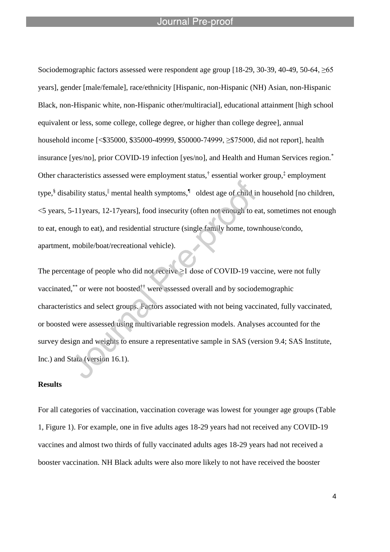l

Sociodemographic factors assessed were respondent age group [18-29, 30-39, 40-49, 50-64, ≥65 years], gender [male/female], race/ethnicity [Hispanic, non-Hispanic (NH) Asian, non-Hispanic Black, non-Hispanic white, non-Hispanic other/multiracial], educational attainment [high school equivalent or less, some college, college degree, or higher than college degree], annual household income [<\$35000, \$35000-49999, \$50000-74999, ≥\$75000, did not report], health insurance [yes/no], prior COVID-19 infection [yes/no], and Health and Human Services region.\* Other characteristics assessed were employment status,<sup>†</sup> essential worker group,<sup>‡</sup> employment type,<sup>§</sup> disability status,<sup>||</sup> mental health symptoms,<sup>¶</sup> oldest age of child in household [no children, <5 years, 5-11years, 12-17years], food insecurity (often not enough to eat, sometimes not enough to eat, enough to eat), and residential structure (single family home, townhouse/condo, apartment, mobile/boat/recreational vehicle).

The percentage of people who did not receive  $\geq 1$  dose of COVID-19 vaccine, were not fully vaccinated,\*\* or were not boosted<sup>††</sup> were assessed overall and by sociodemographic characteristics and select groups. Factors associated with not being vaccinated, fully vaccinated, or boosted were assessed using multivariable regression models. Analyses accounted for the survey design and weights to ensure a representative sample in SAS (version 9.4; SAS Institute, Inc.) and Stata (version 16.1).

#### **Results**

For all categories of vaccination, vaccination coverage was lowest for younger age groups (Table 1, Figure 1). For example, one in five adults ages 18-29 years had not received any COVID-19 vaccines and almost two thirds of fully vaccinated adults ages 18-29 years had not received a booster vaccination. NH Black adults were also more likely to not have received the booster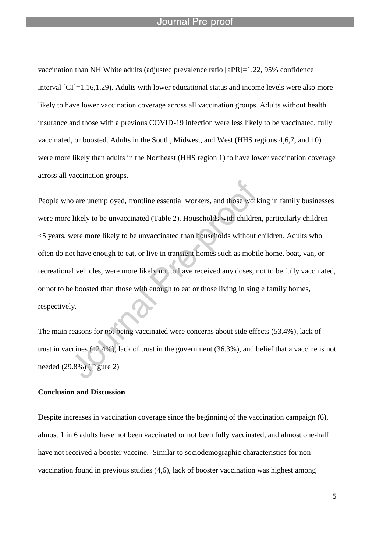l

vaccination than NH White adults (adjusted prevalence ratio [aPR]=1.22, 95% confidence interval [CI]=1.16,1.29). Adults with lower educational status and income levels were also more likely to have lower vaccination coverage across all vaccination groups. Adults without health insurance and those with a previous COVID-19 infection were less likely to be vaccinated, fully vaccinated, or boosted. Adults in the South, Midwest, and West (HHS regions 4,6,7, and 10) were more likely than adults in the Northeast (HHS region 1) to have lower vaccination coverage across all vaccination groups.

People who are unemployed, frontline essential workers, and those working in family businesses were more likely to be unvaccinated (Table 2). Households with children, particularly children <5 years, were more likely to be unvaccinated than households without children. Adults who often do not have enough to eat, or live in transient homes such as mobile home, boat, van, or recreational vehicles, were more likely not to have received any doses, not to be fully vaccinated, or not to be boosted than those with enough to eat or those living in single family homes, respectively.

The main reasons for not being vaccinated were concerns about side effects (53.4%), lack of trust in vaccines (42.4%), lack of trust in the government (36.3%), and belief that a vaccine is not needed (29.8%) (Figure 2)

#### **Conclusion and Discussion**

Despite increases in vaccination coverage since the beginning of the vaccination campaign (6), almost 1 in 6 adults have not been vaccinated or not been fully vaccinated, and almost one-half have not received a booster vaccine. Similar to sociodemographic characteristics for nonvaccination found in previous studies (4,6), lack of booster vaccination was highest among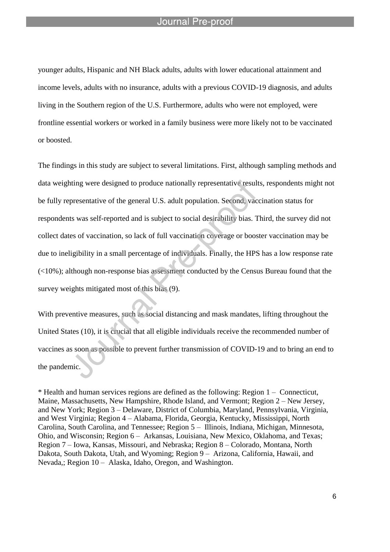l

younger adults, Hispanic and NH Black adults, adults with lower educational attainment and income levels, adults with no insurance, adults with a previous COVID-19 diagnosis, and adults living in the Southern region of the U.S. Furthermore, adults who were not employed, were frontline essential workers or worked in a family business were more likely not to be vaccinated or boosted.

The findings in this study are subject to several limitations. First, although sampling methods and data weighting were designed to produce nationally representative results, respondents might not be fully representative of the general U.S. adult population. Second, vaccination status for respondents was self-reported and is subject to social desirability bias. Third, the survey did not collect dates of vaccination, so lack of full vaccination coverage or booster vaccination may be due to ineligibility in a small percentage of individuals. Finally, the HPS has a low response rate (<10%); although non-response bias assessment conducted by the Census Bureau found that the survey weights mitigated most of this bias (9).

With preventive measures, such as social distancing and mask mandates, lifting throughout the United States (10), it is crucial that all eligible individuals receive the recommended number of vaccines as soon as possible to prevent further transmission of COVID-19 and to bring an end to the pandemic.

\* Health and human services regions are defined as the following: Region 1 – Connecticut, Maine, Massachusetts, New Hampshire, Rhode Island, and Vermont; Region 2 – New Jersey, and New York; Region 3 – Delaware, District of Columbia, Maryland, Pennsylvania, Virginia, and West Virginia; Region 4 – Alabama, Florida, Georgia, Kentucky, Mississippi, North Carolina, South Carolina, and Tennessee; Region 5 – Illinois, Indiana, Michigan, Minnesota, Ohio, and Wisconsin; Region 6 – Arkansas, Louisiana, New Mexico, Oklahoma, and Texas; Region 7 – Iowa, Kansas, Missouri, and Nebraska; Region 8 – Colorado, Montana, North Dakota, South Dakota, Utah, and Wyoming; Region 9 – Arizona, California, Hawaii, and Nevada,; Region 10 – Alaska, Idaho, Oregon, and Washington.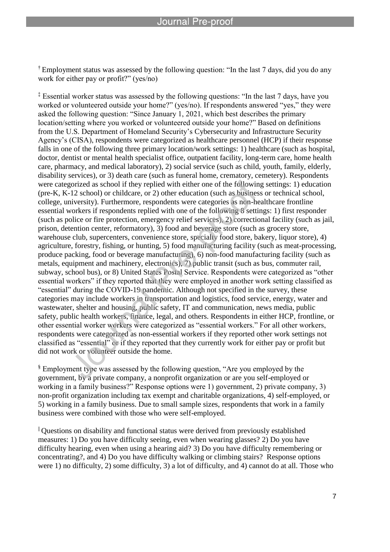† Employment status was assessed by the following question: "In the last 7 days, did you do any work for either pay or profit?" (yes/no)

l

‡ Essential worker status was assessed by the following questions: "In the last 7 days, have you worked or volunteered outside your home?" (yes/no). If respondents answered "yes," they were asked the following question: "Since January 1, 2021, which best describes the primary location/setting where you worked or volunteered outside your home?" Based on definitions from the U.S. Department of Homeland Security's Cybersecurity and Infrastructure Security Agency's (CISA), respondents were categorized as healthcare personnel (HCP) if their response falls in one of the following three primary location/work settings: 1) healthcare (such as hospital, doctor, dentist or mental health specialist office, outpatient facility, long-term care, home health care, pharmacy, and medical laboratory), 2) social service (such as child, youth, family, elderly, disability services), or 3) death care (such as funeral home, crematory, cemetery). Respondents were categorized as school if they replied with either one of the following settings: 1) education (pre-K, K-12 school) or childcare, or 2) other education (such as business or technical school, college, university). Furthermore, respondents were categories as non-healthcare frontline essential workers if respondents replied with one of the following 8 settings: 1) first responder (such as police or fire protection, emergency relief services), 2) correctional facility (such as jail, prison, detention center, reformatory), 3) food and beverage store (such as grocery store, warehouse club, supercenters, convenience store, specialty food store, bakery, liquor store), 4) agriculture, forestry, fishing, or hunting, 5) food manufacturing facility (such as meat-processing, produce packing, food or beverage manufacturing), 6) non-food manufacturing facility (such as metals, equipment and machinery, electronics), 7) public transit (such as bus, commuter rail, subway, school bus), or 8) United States Postal Service. Respondents were categorized as "other essential workers" if they reported that they were employed in another work setting classified as "essential" during the COVID-19 pandemic. Although not specified in the survey, these categories may include workers in transportation and logistics, food service, energy, water and wastewater, shelter and housing, public safety, IT and communication, news media, public safety, public health workers, finance, legal, and others. Respondents in either HCP, frontline, or other essential worker workers were categorized as "essential workers." For all other workers, respondents were categorized as non-essential workers if they reported other work settings not classified as "essential" or if they reported that they currently work for either pay or profit but did not work or volunteer outside the home.

§ Employment type was assessed by the following question, "Are you employed by the government, by a private company, a nonprofit organization or are you self-employed or working in a family business?" Response options were 1) government, 2) private company, 3) non-profit organization including tax exempt and charitable organizations, 4) self-employed, or 5) working in a family business. Due to small sample sizes, respondents that work in a family business were combined with those who were self-employed.

|| Questions on disability and functional status were derived from previously established measures: 1) Do you have difficulty seeing, even when wearing glasses? 2) Do you have difficulty hearing, even when using a hearing aid? 3) Do you have difficulty remembering or concentrating?, and 4) Do you have difficulty walking or climbing stairs? Response options were 1) no difficulty, 2) some difficulty, 3) a lot of difficulty, and 4) cannot do at all. Those who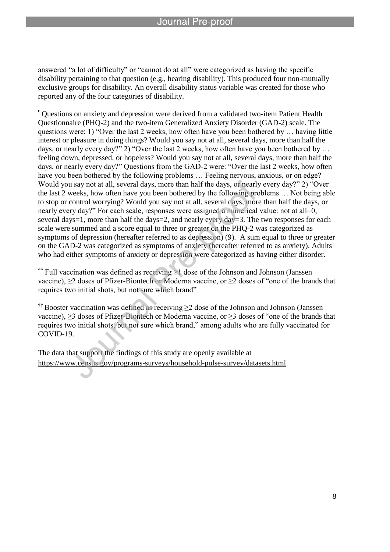answered "a lot of difficulty" or "cannot do at all" were categorized as having the specific disability pertaining to that question (e.g., hearing disability). This produced four non-mutually exclusive groups for disability. An overall disability status variable was created for those who reported any of the four categories of disability.

l

¶ Questions on anxiety and depression were derived from a validated two-item Patient Health Questionnaire (PHQ-2) and the two-item Generalized Anxiety Disorder (GAD-2) scale. The questions were: 1) "Over the last 2 weeks, how often have you been bothered by … having little interest or pleasure in doing things? Would you say not at all, several days, more than half the days, or nearly every day?" 2) "Over the last 2 weeks, how often have you been bothered by ... feeling down, depressed, or hopeless? Would you say not at all, several days, more than half the days, or nearly every day?" Questions from the GAD-2 were: "Over the last 2 weeks, how often have you been bothered by the following problems ... Feeling nervous, anxious, or on edge? Would you say not at all, several days, more than half the days, or nearly every day?" 2) "Over the last 2 weeks, how often have you been bothered by the following problems … Not being able to stop or control worrying? Would you say not at all, several days, more than half the days, or nearly every day?" For each scale, responses were assigned a numerical value: not at all=0, several days=1, more than half the days=2, and nearly every day=3. The two responses for each scale were summed and a score equal to three or greater on the PHQ-2 was categorized as symptoms of depression (hereafter referred to as depression) (9). A sum equal to three or greater on the GAD-2 was categorized as symptoms of anxiety (hereafter referred to as anxiety). Adults who had either symptoms of anxiety or depression were categorized as having either disorder.

\*\* Full vaccination was defined as receiving  $\geq 1$  dose of the Johnson and Johnson (Janssen vaccine), ≥2 doses of Pfizer-Biontech or Moderna vaccine, or ≥2 doses of "one of the brands that requires two initial shots, but not sure which brand"

†† Booster vaccination was defined as receiving ≥2 dose of the Johnson and Johnson (Janssen vaccine), ≥3 doses of Pfizer-Biontech or Moderna vaccine, or ≥3 doses of "one of the brands that requires two initial shots, but not sure which brand," among adults who are fully vaccinated for COVID-19.

The data that support the findings of this study are openly available at https://www.census.gov/programs-surveys/household-pulse-survey/datasets.html.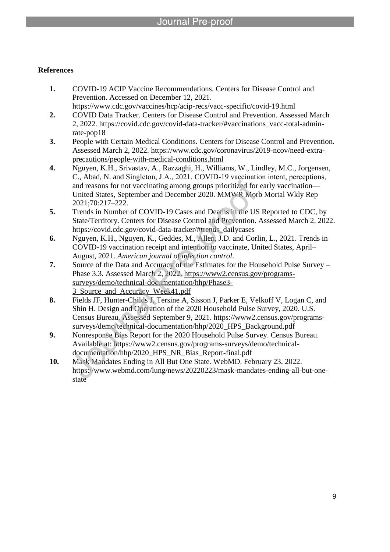l

# **References**

- **1.** COVID-19 ACIP Vaccine Recommendations. Centers for Disease Control and Prevention. Accessed on December 12, 2021. https://www.cdc.gov/vaccines/hcp/acip-recs/vacc-specific/covid-19.html
- **2.** COVID Data Tracker. Centers for Disease Control and Prevention. Assessed March 2, 2022. https://covid.cdc.gov/covid-data-tracker/#vaccinations\_vacc-total-adminrate-pop18
- **3.** People with Certain Medical Conditions. Centers for Disease Control and Prevention. Assessed March 2, 2022. https://www.cdc.gov/coronavirus/2019-ncov/need-extraprecautions/people-with-medical-conditions.html
- **4.** Nguyen, K.H., Srivastav, A., Razzaghi, H., Williams, W., Lindley, M.C., Jorgensen, C., Abad, N. and Singleton, J.A., 2021. COVID‐19 vaccination intent, perceptions, and reasons for not vaccinating among groups prioritized for early vaccination— United States, September and December 2020. MMWR Morb Mortal Wkly Rep 2021;70:217–222.
- **5.** Trends in Number of COVID-19 Cases and Deaths in the US Reported to CDC, by State/Territory. Centers for Disease Control and Prevention. Assessed March 2, 2022. https://covid.cdc.gov/covid-data-tracker/#trends\_dailycases
- **6.** Nguyen, K.H., Nguyen, K., Geddes, M., Allen, J.D. and Corlin, L., 2021. Trends in COVID-19 vaccination receipt and intention to vaccinate, United States, April– August, 2021. *American journal of infection control*.
- **7.** Source of the Data and Accuracy of the Estimates for the Household Pulse Survey Phase 3.3. Assessed March 2, 2022. https://www2.census.gov/programssurveys/demo/technical-documentation/hhp/Phase3- 3\_Source\_and\_Accuracy\_Week41.pdf
- **8.** Fields JF, Hunter-Childs J, Tersine A, Sisson J, Parker E, Velkoff V, Logan C, and Shin H. Design and Operation of the 2020 Household Pulse Survey, 2020. U.S. Census Bureau. Assessed September 9, 2021. https://www2.census.gov/programssurveys/demo/technical-documentation/hhp/2020\_HPS\_Background.pdf
- **9.** Nonresponse Bias Report for the 2020 Household Pulse Survey. Census Bureau. Available at: https://www2.census.gov/programs-surveys/demo/technicaldocumentation/hhp/2020\_HPS\_NR\_Bias\_Report-final.pdf
- **10.** Mask Mandates Ending in All But One State. WebMD. February 23, 2022. https://www.webmd.com/lung/news/20220223/mask-mandates-ending-all-but-onestate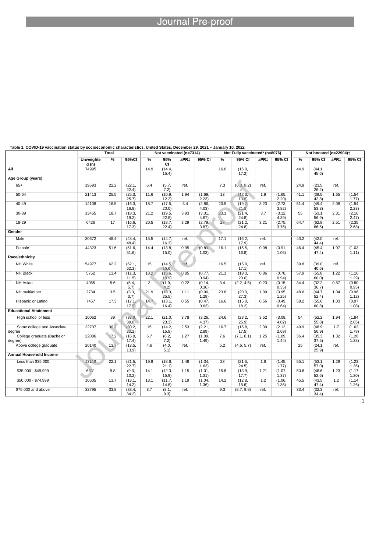| Table 1. COVID-19 Vaccination status by socioeconomic characteristics, United States, December 29, 2021 – January 10, 2022 | <b>Total</b>      |      |                    | Not vaccinated (n=7314) |                  |                  | Not Fully vaccinated* (n=8076) |               |                  |                  | Not boosted (n=22904)+ |               |                  |      |                  |
|----------------------------------------------------------------------------------------------------------------------------|-------------------|------|--------------------|-------------------------|------------------|------------------|--------------------------------|---------------|------------------|------------------|------------------------|---------------|------------------|------|------------------|
|                                                                                                                            | Unweighte<br>d(n) | $\%$ | 95%CI              | %                       | 95%<br><b>CI</b> | aPR <sub>‡</sub> | 95% CI                         | $\frac{9}{6}$ | 95% CI           | aPR <sub>±</sub> | 95% CI                 | $\frac{9}{6}$ | 95% CI           | aPR‡ | 95% CI           |
| All                                                                                                                        | 74995             |      |                    | 14.9                    | (14.4,<br>15.4)  |                  |                                | 16.6          | (16.0,<br>17.2)  |                  |                        | 44.9          | (44.1,<br>45.6)  |      |                  |
| Age Group (years)                                                                                                          |                   |      |                    |                         |                  |                  |                                |               |                  |                  |                        |               |                  |      |                  |
| $65+$                                                                                                                      | 19593             | 22.2 | (22.1,<br>22.4)    | 6.4                     | (5.7,<br>7.2)    | ref.             |                                | 7.3           | (6.3, 8.2)       | ref.             |                        | 24.9          | (23.5,<br>26.2)  | ref. |                  |
| $50 - 64$                                                                                                                  | 21413             | 25.5 | (25.3,<br>25.7)    | 11.6                    | (10.9,<br>12.2)  | 1.94             | (1.69,<br>(2.23)               | 13            | (12.3,<br>13.8   | 1.9              | (1.65,<br>2.20         | 41.1          | (39.5,<br>42.8   | 1.65 | (1.54,<br>1.77)  |
| 40-49                                                                                                                      | 14108             | 16.5 | (16.3,<br>16.8)    | 18.7                    | (17.5,<br>20.0)  | 3.4              | (2.86,<br>4.03)                | 20.5          | (19.2,<br>21.8   | 3.23             | (2.73,<br>3.82)        | 51.4          | (49.4,<br>53.3)  | 2.08 | (1.94,<br>2.23)  |
| 30-39                                                                                                                      | 13455             | 18.7 | (18.3,<br>19.2)    | 21.2                    | (19.5,<br>22.8)  | 3.93             | (3.31,<br>4.67)                | 23.1          | (21.4,<br>24.8)  | 3.7              | (3.12,<br>4.39)        | 55            | (53.1,<br>56.9   | 2.31 | (2.16,<br>2.47)  |
| 18-29                                                                                                                      | 6426              | 17   | (16.6,<br>17.3)    | 20.5                    | (18.7,<br>22.4)  | 3.29             | (2.79,<br>3.87)                | 23            | (21.2,<br>24.8)  | 3.21             | (2.75,<br>3.76         | 64.7          | (62.8,<br>66.5)  | 2.51 | (2.35,<br>2.68)  |
| Gender                                                                                                                     |                   |      |                    |                         |                  |                  |                                |               |                  |                  |                        |               |                  |      |                  |
| Male                                                                                                                       | 30672             | 48.4 | (48.4,<br>$48.4$ ) | 15.5                    | (14.7,<br>16.3)  | ref.             |                                | 17.1          | (16.2,<br>17.9)  | ref.             |                        | 43.2          | (42.0,<br>44.4)  | ref. |                  |
| Female                                                                                                                     | 44323             | 51.6 | (51.6,<br>51.6)    | 14.4                    | (13.8,<br>15.0)  | 0.95             | (0.89,<br>1.03)                | 16.1          | (15.5,<br>16.8)  | 0.98             | (0.91,<br>1.05)        | 46.4          | (45.4,<br>47.4)  | 1.07 | (1.03,<br>1.11)  |
| Race/ethnicity                                                                                                             |                   |      |                    |                         |                  |                  |                                |               |                  |                  |                        |               |                  |      |                  |
| NH White                                                                                                                   | 54977             | 62.2 | (62.1,<br>62.3)    | 15                      | (14.5,<br>15.6)  | ref.             |                                | 16.5          | (15.9,<br>17.1)  | ref.             |                        | 39.8          | (39.0,<br>40.6   | ref. |                  |
| <b>NH Black</b>                                                                                                            | 5752              | 11.4 | (11.3,<br>11.5)    | 18.2                    | (16.6,<br>19.9)  | 0.85             | (0.77,<br>0.94)                | 21.1          | (19.3,<br>23.0)  | 0.86             | (0.78,<br>0.94)        | 57.9          | (55.8,<br>60.0   | 1.22 | (1.16,<br>1.29   |
| <b>NH Asian</b>                                                                                                            | 4065              | 5.6  | (5.4,<br>5.7       | $\overline{3}$          | (1.9,<br>(4.2)   | 0.22             | (0.14,<br>0.36)                | 3.4           | (2.2, 4.5)       | 0.23             | (0.15,<br>0.35)        | 34.4          | (32.2,<br>36.7)  | 0.87 | (0.80,<br>0.95)  |
| NH multi/other                                                                                                             | 2734              | 3.5  | (3.3,<br>3.7)      | 21.9                    | (18.3,<br>(25.5) | 1.11             | (0.96,<br>1.28                 | 23.8          | (20.3,<br>27.3)  | 1.09             | (0.95,<br>1.25)        | 48.6          | (44.7,<br>52.4)  | 1.04 | (0.96,<br>1.12)  |
| Hispanic or Latino                                                                                                         | 7467              | 17.3 | (17.1,<br>17.5)    | 14.7                    | (13.1,<br>16.4)  | 0.55             | (0.47,<br>0.63)                | 16.6          | (15.0,<br>18.2)  | 0.56             | (0.49,<br>0.64)        | 58.2          | (55.6,<br>60.8   | 1.03 | (0.97,<br>1.08)  |
| <b>Educational Attainment</b>                                                                                              |                   |      |                    |                         |                  |                  |                                |               |                  |                  |                        |               |                  |      |                  |
| High school or less                                                                                                        | 10062             | 39   | (38.9,<br>39.0     | 22.1                    | (21.0,<br>(23.3) | 3.78             | (3.26,<br>4.37)                | 24.6          | (23.2,<br>(25.9) | 3.52             | (3.08,<br>4.02)        | 54            | (52.2,<br>55.8   | 1.94 | (1.84,<br>2.05)  |
| Some college and Associate<br>degree                                                                                       | 22707             | 30.2 | (30.2,<br>$30.2$ ) | 15                      | (14.2,<br>(15.8) | 2.53             | (2.21,<br>(2.89)               | 16.7          | (15.8,<br>17.5)  | 2.39             | (2.12,<br>2.69         | 49.9          | (48.9,<br>50.9   | 1.7  | (1.62,<br>1.78)  |
| College graduate (Bachelor<br>degree)                                                                                      | 22086             | 17.2 | (16.9,<br>17.4)    | 6.7                     | (6.2,<br>7.2)    | 1.27             | (1.09,<br>1.49                 | 7.6           | (7.1, 8.1)       | 1.25             | (1.09,<br>1.44)        | 36.4          | (35.3,<br>37.5)  | 1.32 | (1.26,<br>(1.38) |
| Above college graduate                                                                                                     | 20140             | 13.7 | (13.5,<br>13.9)    | 4.6                     | (4.0,<br>5.1)    | ref.             |                                | 5.2           | (4.6, 5.7)       | ref.             |                        | 25            | (24.1,<br>(25.9) | ref. |                  |
| <b>Annual Household Income</b>                                                                                             |                   |      |                    |                         |                  |                  |                                |               |                  |                  |                        |               |                  |      |                  |
| Less than \$35,000                                                                                                         | 13116             | 22.1 | (21.5,<br>22.7)    | 19.9                    | (18.6,<br>21.1)  | 1.48             | (1.34,<br>1.63)                | 23            | (21.5,<br>24.5)  | 1.6              | (1.45,<br>1.77)        | 55.1          | (53.1,<br>57.0   | 1.29 | (1.23,<br>1.36)  |
| \$35,000 - \$49,999                                                                                                        | 6831              | 9.8  | (9.3,<br>10.2      | 14.1                    | (12.3,<br>15.9)  | 1.15             | (1.01,<br>1.31)                | 15.8          | (13.9,<br>17.7)  | 1.21             | (1.07,<br>1.37)        | 50.6          | (48.6,<br>52.6)  | 1.23 | (1.17,<br>1.30)  |
| \$50,000 - \$74,999                                                                                                        | 10605             | 13.7 | (13.1,<br>14.2)    | 13.1                    | (11.7,<br>(14.6) | 1.19             | (1.04,<br>(1.36)               | 14.2          | (12.8,<br>15.6)  | 1.2              | (1.06,<br>(1.36)       | 45.5          | (43.5,<br>47.4)  | 1.2  | (1.14,<br>1.26)  |
| \$75,000 and above                                                                                                         | 32795             | 33.8 | (33.4,<br>34.2)    | 8.7                     | (8.1,<br>9.3)    | ref.             |                                | 9.3           | (8.7, 9.9)       | ref.             |                        | 33.4          | (32.3,<br>34.4)  | ref. |                  |

### **Table 1. COVID-19 vaccination status by socioeconomic characteristics, United States, December 29, 2021 – January 10, 2022**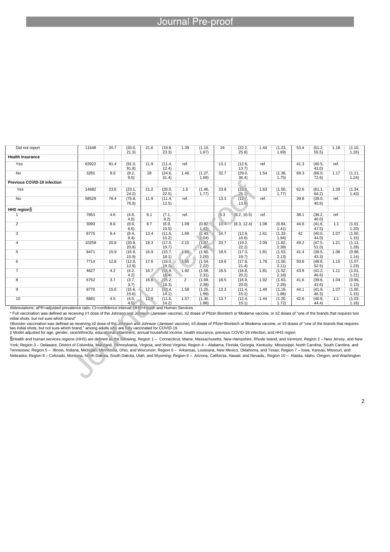l

| Did not report                                                                                      | 11648 | 20.7 | (20.0,<br>21.3) | 21.6 | (19.8,<br>(23.3) | 1.39           | (1.15,<br>1.67   | 24   | (22.2,<br>(25.8)   | 1.44 | (1.23,<br>1.69  | 53.4 | (51.2,<br>55.5)  | 1.18 | (1.10,<br>1.26  |
|-----------------------------------------------------------------------------------------------------|-------|------|-----------------|------|------------------|----------------|------------------|------|--------------------|------|-----------------|------|------------------|------|-----------------|
| <b>Health Insurance</b>                                                                             |       |      |                 |      |                  |                |                  |      |                    |      |                 |      |                  |      |                 |
| Yes                                                                                                 | 63922 | 91.4 | (91.0,<br>91.8  | 11.9 | (11.4,<br>12.4)  | ref.           |                  | 13.1 | (12.6,<br>13.7)    | ref. |                 | 41.3 | (40.5,<br>42.0   | ref. |                 |
| <b>No</b>                                                                                           | 3281  | 8.6  | (8.2,<br>9.0    | 28   | (24.6,<br>31.4)  | 1.46           | (1.27,<br>1.69   | 32.7 | (29.0,<br>36.4)    | 1.54 | (1.36,<br>1.75) | 69.3 | (66.0,<br>72.6   | 1.17 | (1.11,<br>1.24) |
| <b>Previous COVID-19 infection</b>                                                                  |       |      |                 |      |                  |                |                  |      |                    |      |                 |      |                  |      |                 |
| Yes                                                                                                 | 14682 | 23.6 | (23.1,<br>24.2) | 21.2 | (20.0,<br>22.5)  | 1.6            | (1.46,<br>1.77   | 23.8 | (22.6,<br>25.1     | 1.63 | (1.50,<br>1.77  | 62.6 | (61.1,<br>64.2)  | 1.39 | (1.34,<br>1.43) |
| <b>No</b>                                                                                           | 58529 | 76.4 | (75.8,<br>76.9  | 11.9 | (11.4,<br>12.5)  | ref.           |                  | 13.3 | (12.7,<br>13.9     | ref. |                 | 39.8 | (39.0,<br>40.6   | ref. |                 |
| HHS region                                                                                          |       |      |                 |      |                  |                |                  |      |                    |      |                 |      |                  |      |                 |
|                                                                                                     | 7853  | 4.6  | (4.6,<br>(4.6)  | 8.1  | (7.1,<br>9.2)    | ref.           |                  | 9.3  | (8.2, 10.5)        | ref. |                 | 38.1 | (36.2,<br>40.0   | ref. |                 |
| $\overline{2}$                                                                                      | 3093  | 8.6  | (8.6,<br>8.6    | 8.7  | (6.9,<br>(10.5)  | 1.09           | (0.82,<br>1.43   | 10.4 | (8.3, 12.4)        | 1.08 | (0.84,<br>1.41) | 44.6 | (41.6,<br>(47.5) | 1.1  | (1.01,<br>1.20  |
| 3                                                                                                   | 8775  | 9.4  | (9.4,<br>9.4)   | 13.4 | (11.6,<br>15.2   | 1.69           | 1.40,<br>2.04)   | 14.7 | (12.9,<br>16.6)    | 1.61 | (1.33,<br>1.94) | 42   | (40.0,<br>44.0   | 1.07 | (1.00,<br>1.15) |
| $\overline{4}$                                                                                      | 10259 | 20.8 | (20.8,<br>20.8  | 18.3 | (17.0,<br>19.7)  | 2.15           | (1.87,<br>(2.46) | 20.7 | (19.2,<br>22.2)    | 2.09 | (1.82,<br>2.39) | 49.2 | (47.5,<br>51.0   | 1.21 | (1.13,<br>1.28  |
| 5                                                                                                   | 9471  | 15.9 | (15.9,<br>15.9  | 16.9 | (15.7,<br>18.1)  | 1.88           | (1.60,<br>2.20)  | 18.5 | (17.3,<br>19.7)    | 1.81 | (1.53,<br>2.13) | 41.4 | (39.5,<br>43.3)  | 1.06 | (0.98,<br>1.14) |
| 6                                                                                                   | 7714  | 12.8 | (12.8,<br>12.8  | 17.6 | (16.0,<br>19.3)  | 1.85           | (1.54,<br>2.22)  | 19.6 | (17.8,<br>21.4)    | 1.78 | (1.50,<br>2.11) | 50.6 | (48.6,<br>52.5)  | 1.15 | (1.07,<br>1.23) |
| $\overline{7}$                                                                                      | 4627  | 4.2  | (4.2,<br>4.2)   | 16.7 | (14.9,<br>18.4)  | 1.92           | (1.59,<br>2.31)  | 18.5 | (16.8,<br>20.2)    | 1.81 | (1.52,<br>2.16  | 43.9 | (41.2,<br>46.6   | 1.11 | (1.01,<br>1.21) |
| 8                                                                                                   | 6752  | 3.7  | (3.7,<br>3.7)   | 16.8 | (15.2,<br>18.3)  | $\overline{2}$ | (1.69,<br>2.38)  | 18.5 | (16.9,<br>$20.0$ ) | 1.92 | (1.63,<br>2.26  | 41.6 | (39.6,<br>43.6)  | 1.04 | (0.96,<br>1.13) |
| 9                                                                                                   | 9770  | 15.6 | (15.6,<br>15.6  | 12.2 | (10.4,<br>14.1)  | 1.58           | (1.25,<br>1.99   | 13.3 | (11.4,<br>15.2)    | 1.49 | (1.19,<br>1.86  | 44.1 | (41.9,<br>46.3   | 1.07 | (1.00,<br>1.15) |
| 10                                                                                                  | 6681  | 4.5  | (4.5,<br>4.5    | 12.9 | (11.6,<br>14.2)  | 1.57           | (1.30,<br>1.88   | 13.7 | (12.4,<br>15.1)    | 1.44 | (1.20,<br>1.72) | 42.6 | (40.8,<br>44.4)  | 1.1  | (1.03,<br>1.18  |
| Abbreviations: aPR=adjusted prevalence ratio; CI=confidence interval; HHS=Health and Human Services |       |      |                 |      |                  |                |                  |      |                    |      |                 |      |                  |      |                 |

\* Full vaccination was defined as receiving ≥1 dose of the Johnson and Johnson (Janssen vaccine), ≥2 doses of Pfizer-Biontech or Moderna vaccine, or ≥2 doses of "one of the brands that requires two initial shots, but not sure which brand"

†Booster vaccination was defined as receiving ≥2 dose of the Johnson and Johnson (Janssen vaccine), ≥3 doses of Pfizer-Biontech or Moderna vaccine, or ≥3 doses of "one of the brands that requires two initial shots, but not sure which brand," among adults who are fully vaccinated for COVID-19.<br>‡ Model adjusted for age, gender, race/ethnicity, educational attainment, annual household income, health insurance, previou

§Health and human services regions (HHS) are defined as the following: Region 1 - Connecticut, Maine, Massachusetts, New Hampshire, Rhode Island, and Vermont; Region 2 - New Jersey, and New York; Region 3 - Delaware, District of Columbia, Maryland, Pennsylvania, Virginia, and West Virginia; Region 4 - Alabama, Florida, Georgia, Kentucky, Mississippi, North Carolina, South Carolina, and Tennessee; Region 5 – Illinois, Indiana, Michigan, Minnesota, Ohio, and Wisconsin; Region 6 – Arkansas, Louisiana, New Mexico, Oklahoma, and Texas; Region 7 – Iowa, Kansas, Missouri, and<br>Nebraska; Region 8 – Colorado, Mont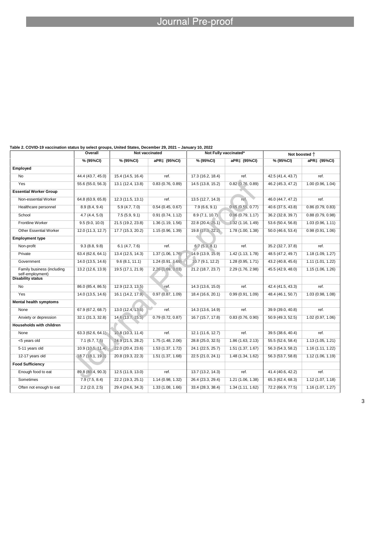# **Example 20 Journal Pre-proof**

| Table 2. COVID-19 vaccination status by select groups, United States, December 29, 2021 – January 10, 2022 |  |  |
|------------------------------------------------------------------------------------------------------------|--|--|
|------------------------------------------------------------------------------------------------------------|--|--|

|                                                | Overall<br>Not vaccinated |                    |                   | Not Fully vaccinated* |                   | Not boosted +     |                   |  |  |
|------------------------------------------------|---------------------------|--------------------|-------------------|-----------------------|-------------------|-------------------|-------------------|--|--|
|                                                | % (95%CI)                 | % (95%CI)          | aPR‡ (95%CI)      | % (95%CI)             | aPR‡ (95%CI)      | % (95%CI)         | aPR‡ (95%CI)      |  |  |
| Employed                                       |                           |                    |                   |                       |                   |                   |                   |  |  |
| <b>No</b>                                      | 44.4 (43.7, 45.0)         | 15.4 (14.5, 16.4)  | ref.              | 17.3 (16.2, 18.4)     | ref.              | 42.5 (41.4, 43.7) | ref.              |  |  |
| Yes                                            | 55.6 (55.0, 56.3)         | 13.1 (12.4, 13.8)  | 0.83(0.76, 0.89)  | 14.5 (13.8, 15.2)     | 0.82(0.76, 0.89)  | 46.2 (45.3, 47.2) | 1.00(0.96, 1.04)  |  |  |
| <b>Essential Worker Group</b>                  |                           |                    |                   |                       |                   |                   |                   |  |  |
| Non-essential Worker                           | 64.8 (63.9, 65.8)         | 12.3 (11.5, 13.1)  | ref.              | 13.5 (12.7, 14.3)     | ref.              | 46.0 (44.7, 47.2) | ref.              |  |  |
| Healthcare personnel                           | 8.9(8.4, 9.4)             | 5.9(4.7, 7.0)      | 0.54(0.45, 0.67)  | 7.9(6.6, 9.1)         | 0.65(0.55, 0.77)  | 40.6 (37.5, 43.8) | 0.86(0.79, 0.83)  |  |  |
| School                                         | 4.7(4.4, 5.0)             | 7.5(5.9, 9.1)      | 0.91(0.74, 1.12)  | 8.9(7.1, 10.7)        | 0.96(0.79, 1.17)  | 36.2 (32.8, 39.7) | 0.88(0.79, 0.98)  |  |  |
| Frontline Worker                               | 9.5(9.0, 10.0)            | 21.5 (19.2, 23.8)  | 1.36(1.19, 1.56)  | 22.8 (20.4, 25.1)     | 1.32(1.16, 1.49)  | 53.6 (50.4, 56.8) | 1.03(0.96, 1.11)  |  |  |
| <b>Other Essential Worker</b>                  | 12.0 (11.3, 12.7)         | 17.7 (15.3, 20.2)  | 1.15 (0.96, 1.39) | 19.8(17.3, 22.2)      | 1.78 (1.00, 1.38) | 50.0 (46.6, 53.4) | 0.98(0.91, 1.06)  |  |  |
| <b>Employment type</b>                         |                           |                    |                   |                       |                   |                   |                   |  |  |
| Non-profit                                     | 9.3(8.8, 9.8)             | 6.1(4.7, 7.6)      | ref.              | 6.7(5.3, 8.1)         | ref.              | 35.2 (32.7, 37.8) | ref.              |  |  |
| Private                                        | 63.4 (62.6, 64.1)         | 13.4 (12.5, 14.3)  | 1.37(1.06, 1.76)  | 14.9 (13.9, 15.9)     | 1.42 (1.13, 1.78) | 48.5 (47.2, 49.7) | 1.18 (1.09, 1.27) |  |  |
| Government                                     | 14.0 (13.5, 14.6)         | 9.6(8.1, 11.1)     | 1.24(0.91, 1.69)  | 10.7(9.1, 12.2)       | 1.28 (0.95, 1.71) | 43.2 (40.8, 45.6) | 1.11(1.01, 1.22)  |  |  |
| Family business (including<br>self-employment) | 13.2 (12.6, 13.9)         | 19.5 (17.1, 21.9)  | 2.26 (1.69, 3.03) | 21.2 (18.7, 23.7)     | 2.29 (1.76, 2.98) | 45.5 (42.9, 48.0) | 1.15(1.06, 1.26)  |  |  |
| <b>Disability status</b>                       |                           |                    |                   |                       |                   |                   |                   |  |  |
| No                                             | 86.0 (85.4, 86.5)         | 12.9 (12.3, 13.5)  | ref.              | 14.3 (13.6, 15.0)     | ref.              | 42.4 (41.5, 43.3) | ref.              |  |  |
| Yes                                            | 14.0 (13.5, 14.6)         | 16.1 (14.2, 17.9). | 0.97(0.87, 1.09)  | 18.4 (16.6, 20.1)     | 0.99(0.91, 1.09)  | 48.4 (46.1, 50.7) | 1.03 (0.98, 1.08) |  |  |
| <b>Mental health symptoms</b>                  |                           |                    |                   |                       |                   |                   |                   |  |  |
| None                                           | 67.9 (67.2, 68.7)         | 13.0 (12.4, 13.6)  | ref.              | 14.3 (13.6, 14.9)     | ref.              | 39.9 (39.0, 40.8) | ref.              |  |  |
| Anxiety or depression                          | 32.1 (31.3, 32.8)         | 14.6 (13.7, 15.5)  | 0.79(0.72, 0.87)  | 16.7 (15.7, 17.8)     | 0.83(0.76, 0.90)  | 50.9 (49.3, 52.5) | 1.02 (0.97, 1.06) |  |  |
| <b>Households with children</b>                |                           |                    |                   |                       |                   |                   |                   |  |  |
| None                                           | 63.3 (62.6, 64.1)         | 10.8 (10.3, 11.4)  | ref.              | 12.1 (11.6, 12.7)     | ref.              | 39.5 (38.6, 40.4) | ref.              |  |  |
| <5 years old                                   | 7.1 (6.7, 7.5)            | 24.9 (21.5, 28.2)  | 1.75(1.48, 2.06)  | 28.8 (25.0, 32.5)     | 1.86 (1.63, 2.13) | 55.5 (52.6, 58.4) | 1.13(1.05, 1.21)  |  |  |
| 5-11 years old                                 | 10.9(10.5, 11.4)          | 22.0 (20.4, 23.6)  | 1.53 (1.37, 1.72) | 24.1 (22.5, 25.7)     | 1.51 (1.37, 1.67) | 56.3 (54.3, 58.2) | 1.16(1.11, 1.22)  |  |  |
| 12-17 years old                                | (18.7 (18.1, 19.3))       | 20.8 (19.3, 22.3)  | 1.51 (1.37, 1.68) | 22.5 (21.0, 24.1)     | 1.48 (1.34, 1.62) | 56.3 (53.7, 58.8) | 1.12(1.06, 1.19)  |  |  |
| <b>Food Sufficiency</b>                        |                           |                    |                   |                       |                   |                   |                   |  |  |
| Enough food to eat                             | 89.8 (89.4, 90.3)         | 12.5 (11.9, 13.0)  | ref.              | 13.7 (13.2, 14.3)     | ref.              | 41.4 (40.6, 42.2) | ref.              |  |  |
| Sometimes                                      | 7.9(7.5, 8.4)             | 22.2 (19.3, 25.1)  | 1.14 (0.98, 1.32) | 26.4 (23.3, 29.4)     | 1.21(1.06, 1.38)  | 65.3 (62.4, 68.3) | 1.12(1.07, 1.18)  |  |  |
| Often not enough to eat                        | $2.2$ (2.0, 2.5)          | 29.4 (24.6, 34.3)  | 1.33 (1.08, 1.66) | 33.4 (28.3, 38.4)     | 1.34 (1.11, 1.62) | 72.2 (66.9, 77.5) | 1.16(1.07, 1.27)  |  |  |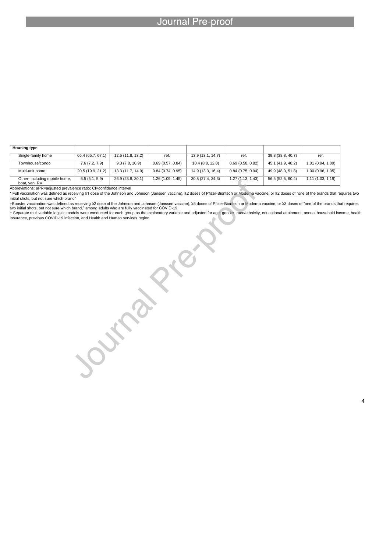l

| <b>Housing type</b>                            |                   |                   |                   |                   |                   |                   |                   |
|------------------------------------------------|-------------------|-------------------|-------------------|-------------------|-------------------|-------------------|-------------------|
| Single-family home                             | 66.4 (65.7, 67.1) | 12.5 (11.8, 13.2) | ref.              | 13.9 (13.1, 14.7) | ref.              | 39.8 (38.8, 40.7) | ref.              |
| Townhouse/condo                                | 7.6(7.2, 7.9)     | 9.3(7.8, 10.9)    | 0.69(0.57, 0.84)  | 10.4 (8.8, 12.0)  | 0.69(0.58, 0.82)  | 45.1 (41.9, 48.2) | 1.01 (0.94, 1.09) |
| Multi-unit home                                | 20.5 (19.9, 21.2) | 13.3 (11.7, 14.9) | 0.84(0.74, 0.95)  | 14.9 (13.3, 16.4) | 0.84(0.75, 0.94)  | 49.9 (48.0, 51.8) | 1.00 (0.96, 1.05) |
| Other- including mobile home,<br>boat, van, RV | 5.5(5.1, 5.9)     | 26.9 (23.8, 30.1) | 1.26 (1.09, 1.45) | 30.8 (27.4, 34.3) | 1.27 (1.13, 1.43) | 56.5 (52.5, 60.4) | 1.11 (1.03, 1.19) |

Joseph's R.R.

Abbreviations: aPR=adjusted prevalence ratio; CI=confidence interval

\* Full vaccination was defined as receiving ≥1 dose of the Johnson and Johnson (Janssen vaccine), ≥2 doses of Pfizer-Biontech or Moderna vaccine, or ≥2 doses of "one of the brands that requires two initial shots, but not sure which brand"

†Booster vaccination was defined as receiving ≥2 dose of the Johnson and Johnson (Janssen vaccine), ≥3 doses of Pfizer-Biontech or Moderna vaccine, or ≥3 doses of "one of the brands that requires two initial shots, but not sure which brand," among adults who are fully vaccinated for COVID-19. ‡ Separate multivariable logistic models were conducted for each group as the explanatory variable and adjusted for age, gender, race/ethnicity, educational attainment, annual household income, health

insurance, previous COVID-19 infection, and Health and Human services region.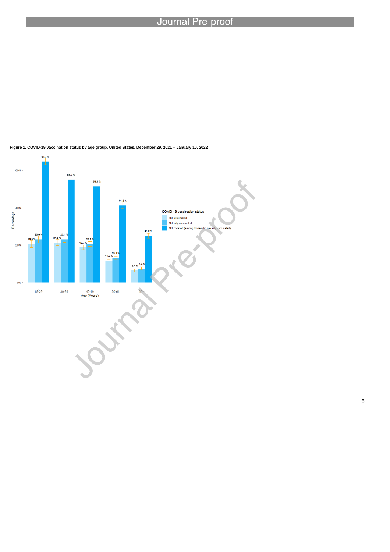

l

#### **Figure 1. COVID-19 vaccination status by age group, United States, December 29, 2021 – January 10, 2022**